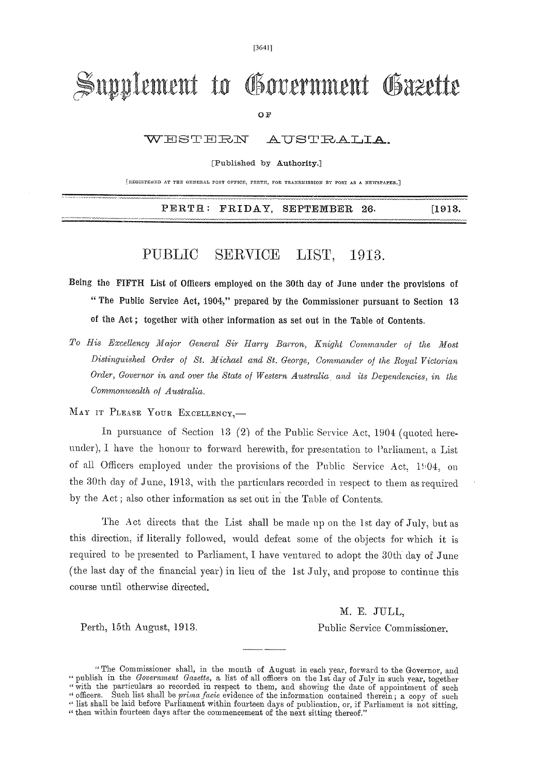[3641]

## Supplement to Government Gazette

OF

WESTERN AUSTRALIA.

[Published by Authority.]

[REGISTERED AT THE GENERAL POST OFFICE, PERTH, FOR TRANSMISSION BY POST AS A NEWSPAPER.]

PERTH: FRIDAY, SEPTEMBER 26. [1913.]

## PUBLIC SERVICE LIST, 1913.

- Being the FIFTH List of Officers employed on the 30th day of June under the provisions of " The Public Service Act, 1904," prepared by the Commissioner pursuant to Section 13 of the Act ; together with other information as set out in the Table of Contents.
- *To His Excellency Major General Sir Harry Barron, Knight Commander of the Most Distinguished Order of St. Michael and St. George, Commander of the Royal Victorian Order, Governor in and over the State of Western Australia, and its Dependencies, in the Commonwealth of Australia.*

MAY IT PLEASE YOUR EXCELLENCY,-

In pursuance of Section 13 (2) of the Public Service Act, 1904 (quoted hereunder), I have the honour to forward herewith, for presentation to Parliament, a List of all Officers employed under the provisions of the Public Service Act, 1904, on the 30th day of June, 1913, with the particulars recorded in respect to them as required by the Act ; also other information as set out in the Table of Contents.

The Act directs that the List shall be made up on the 1st day of July, but as this direction, if literally followed, would defeat some of the objects for which it is required to be presented to Parliament, I have ventured to adopt the 30th day of June (the last day of the financial year) in lieu of the 1st July, and propose to continue this course until otherwise directed.

M. E. JULL, Perth, 15th August, 1913. Public Service Commissioner.

<sup>&</sup>quot; The Commissioner shall, in the month of August in each year, forward to the Governor, and " publish in the *Government Gazette*, a list of all officers on the 1st day of July in such year, together "with the particulars so recorded in respect to them, and showing the date of appointment of such " officers. Such list shall be *prima facie* evidence of the information contained therein; a copy of such " list shall be laid before Parliament within fourteen days of publication, or, if Parliament is not sitting, " then within fourteen days after the commencement of the next sitting thereof."